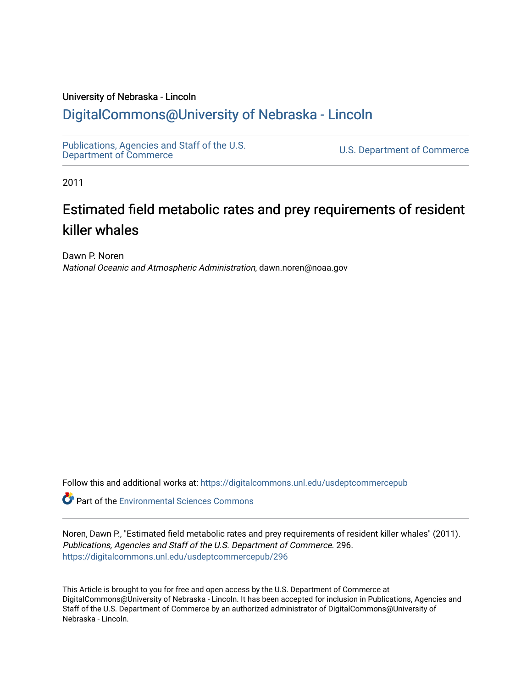## University of Nebraska - Lincoln [DigitalCommons@University of Nebraska - Lincoln](https://digitalcommons.unl.edu/)

[Publications, Agencies and Staff of the U.S.](https://digitalcommons.unl.edu/usdeptcommercepub)

U.S. [Department of Commerce](https://digitalcommons.unl.edu/usdeptcommercepub)

2011

## Estimated field metabolic rates and prey requirements of resident killer whales

Dawn P. Noren National Oceanic and Atmospheric Administration, dawn.noren@noaa.gov

Follow this and additional works at: [https://digitalcommons.unl.edu/usdeptcommercepub](https://digitalcommons.unl.edu/usdeptcommercepub?utm_source=digitalcommons.unl.edu%2Fusdeptcommercepub%2F296&utm_medium=PDF&utm_campaign=PDFCoverPages)

**C** Part of the [Environmental Sciences Commons](http://network.bepress.com/hgg/discipline/167?utm_source=digitalcommons.unl.edu%2Fusdeptcommercepub%2F296&utm_medium=PDF&utm_campaign=PDFCoverPages)

Noren, Dawn P., "Estimated field metabolic rates and prey requirements of resident killer whales" (2011). Publications, Agencies and Staff of the U.S. Department of Commerce. 296. [https://digitalcommons.unl.edu/usdeptcommercepub/296](https://digitalcommons.unl.edu/usdeptcommercepub/296?utm_source=digitalcommons.unl.edu%2Fusdeptcommercepub%2F296&utm_medium=PDF&utm_campaign=PDFCoverPages) 

This Article is brought to you for free and open access by the U.S. Department of Commerce at DigitalCommons@University of Nebraska - Lincoln. It has been accepted for inclusion in Publications, Agencies and Staff of the U.S. Department of Commerce by an authorized administrator of DigitalCommons@University of Nebraska - Lincoln.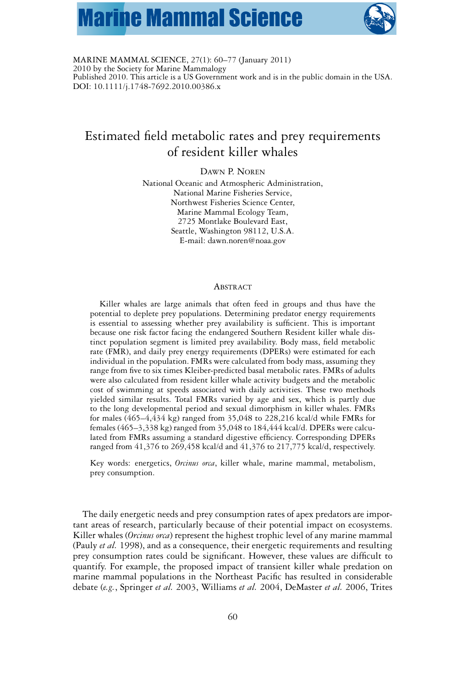# **Marine Mammal Science**



MARINE MAMMAL SCIENCE, 27(1): 60–77 (January 2011) 2010 by the Society for Marine Mammalogy Published 2010. This article is a US Government work and is in the public domain in the USA. DOI: 10.1111/j.1748-7692.2010.00386.x

### Estimated field metabolic rates and prey requirements of resident killer whales

DAWN P. NOREN

National Oceanic and Atmospheric Administration, National Marine Fisheries Service, Northwest Fisheries Science Center, Marine Mammal Ecology Team, 2725 Montlake Boulevard East, Seattle, Washington 98112, U.S.A. E-mail: dawn.noren@noaa.gov

#### ABSTRACT

Killer whales are large animals that often feed in groups and thus have the potential to deplete prey populations. Determining predator energy requirements is essential to assessing whether prey availability is sufficient. This is important because one risk factor facing the endangered Southern Resident killer whale distinct population segment is limited prey availability. Body mass, field metabolic rate (FMR), and daily prey energy requirements (DPERs) were estimated for each individual in the population. FMRs were calculated from body mass, assuming they range from five to six times Kleiber-predicted basal metabolic rates. FMRs of adults were also calculated from resident killer whale activity budgets and the metabolic cost of swimming at speeds associated with daily activities. These two methods yielded similar results. Total FMRs varied by age and sex, which is partly due to the long developmental period and sexual dimorphism in killer whales. FMRs for males (465–4,434 kg) ranged from 35,048 to 228,216 kcal/d while FMRs for females (465–3,338 kg) ranged from 35,048 to 184,444 kcal/d. DPERs were calculated from FMRs assuming a standard digestive efficiency. Corresponding DPERs ranged from 41,376 to 269,458 kcal/d and 41,376 to 217,775 kcal/d, respectively.

Key words: energetics, *Orcinus orca*, killer whale, marine mammal, metabolism, prey consumption.

The daily energetic needs and prey consumption rates of apex predators are important areas of research, particularly because of their potential impact on ecosystems. Killer whales (*Orcinus orca*) represent the highest trophic level of any marine mammal (Pauly *et al.* 1998), and as a consequence, their energetic requirements and resulting prey consumption rates could be significant. However, these values are difficult to quantify. For example, the proposed impact of transient killer whale predation on marine mammal populations in the Northeast Pacific has resulted in considerable debate (*e.g.*, Springer *et al.* 2003, Williams *et al.* 2004, DeMaster *et al.* 2006, Trites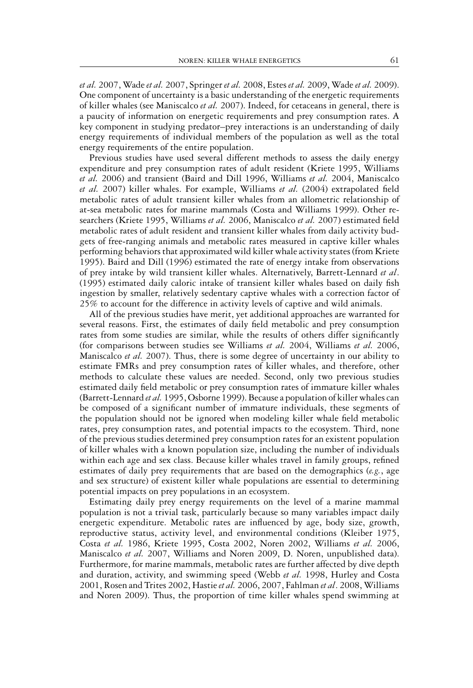*et al.* 2007, Wade*et al.* 2007, Springer *et al.* 2008, Estes *et al.* 2009, Wade*et al.* 2009). One component of uncertainty is a basic understanding of the energetic requirements of killer whales (see Maniscalco *et al.* 2007). Indeed, for cetaceans in general, there is a paucity of information on energetic requirements and prey consumption rates. A key component in studying predator–prey interactions is an understanding of daily energy requirements of individual members of the population as well as the total energy requirements of the entire population.

Previous studies have used several different methods to assess the daily energy expenditure and prey consumption rates of adult resident (Kriete 1995, Williams *et al.* 2006) and transient (Baird and Dill 1996, Williams *et al.* 2004, Maniscalco *et al.* 2007) killer whales. For example, Williams *et al.* (2004) extrapolated field metabolic rates of adult transient killer whales from an allometric relationship of at-sea metabolic rates for marine mammals (Costa and Williams 1999). Other researchers (Kriete 1995, Williams *et al.* 2006, Maniscalco *et al.* 2007) estimated field metabolic rates of adult resident and transient killer whales from daily activity budgets of free-ranging animals and metabolic rates measured in captive killer whales performing behaviors that approximated wild killer whale activity states (from Kriete 1995). Baird and Dill (1996) estimated the rate of energy intake from observations of prey intake by wild transient killer whales. Alternatively, Barrett-Lennard *et al*. (1995) estimated daily caloric intake of transient killer whales based on daily fish ingestion by smaller, relatively sedentary captive whales with a correction factor of 25% to account for the difference in activity levels of captive and wild animals.

All of the previous studies have merit, yet additional approaches are warranted for several reasons. First, the estimates of daily field metabolic and prey consumption rates from some studies are similar, while the results of others differ significantly (for comparisons between studies see Williams *et al.* 2004, Williams *et al.* 2006, Maniscalco *et al.* 2007). Thus, there is some degree of uncertainty in our ability to estimate FMRs and prey consumption rates of killer whales, and therefore, other methods to calculate these values are needed. Second, only two previous studies estimated daily field metabolic or prey consumption rates of immature killer whales (Barrett-Lennard *et al.* 1995, Osborne 1999). Because a population of killer whales can be composed of a significant number of immature individuals, these segments of the population should not be ignored when modeling killer whale field metabolic rates, prey consumption rates, and potential impacts to the ecosystem. Third, none of the previous studies determined prey consumption rates for an existent population of killer whales with a known population size, including the number of individuals within each age and sex class. Because killer whales travel in family groups, refined estimates of daily prey requirements that are based on the demographics (*e.g.*, age and sex structure) of existent killer whale populations are essential to determining potential impacts on prey populations in an ecosystem.

Estimating daily prey energy requirements on the level of a marine mammal population is not a trivial task, particularly because so many variables impact daily energetic expenditure. Metabolic rates are influenced by age, body size, growth, reproductive status, activity level, and environmental conditions (Kleiber 1975, Costa *et al.* 1986, Kriete 1995, Costa 2002, Noren 2002, Williams *et al.* 2006, Maniscalco *et al.* 2007, Williams and Noren 2009, D. Noren, unpublished data). Furthermore, for marine mammals, metabolic rates are further affected by dive depth and duration, activity, and swimming speed (Webb *et al.* 1998, Hurley and Costa 2001, Rosen and Trites 2002, Hastie*et al.* 2006, 2007, Fahlman *et al*. 2008, Williams and Noren 2009). Thus, the proportion of time killer whales spend swimming at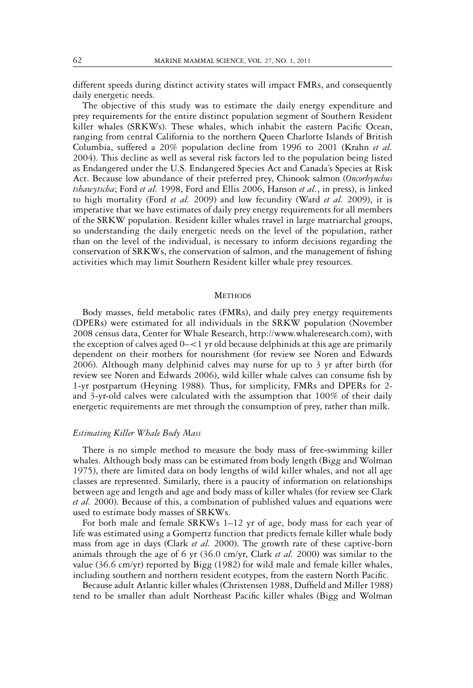different speeds during distinct activity states will impact FMRs, and consequently daily energetic needs.

The objective of this study was to estimate the daily energy expenditure and prey requirements for the entire distinct population segment of Southern Resident killer whales (SRKWs). These whales, which inhabit the eastern Pacific Ocean, ranging from central California to the northern Queen Charlotte Islands of British Columbia, suffered a 20% population decline from 1996 to 2001 (Krahn *et al.* 2004). This decline as well as several risk factors led to the population being listed as Endangered under the U.S. Endangered Species Act and Canada's Species at Risk Act. Because low abundance of their preferred prey, Chinook salmon (*Oncorhynchus tshawytscha*; Ford *et al.* 1998, Ford and Ellis 2006, Hanson *et al.*, in press), is linked to high mortality (Ford *et al.* 2009) and low fecundity (Ward *et al.* 2009), it is imperative that we have estimates of daily prey energy requirements for all members of the SRKW population. Resident killer whales travel in large matriarchal groups, so understanding the daily energetic needs on the level of the population, rather than on the level of the individual, is necessary to inform decisions regarding the conservation of SRKWs, the conservation of salmon, and the management of fishing activities which may limit Southern Resident killer whale prey resources.

#### **METHODS**

Body masses, field metabolic rates (FMRs), and daily prey energy requirements (DPERs) were estimated for all individuals in the SRKW population (November 2008 census data, Center for Whale Research, http://www.whaleresearch.com), with the exception of calves aged  $0 - < 1$  yr old because delphinids at this age are primarily dependent on their mothers for nourishment (for review see Noren and Edwards 2006). Although many delphinid calves may nurse for up to 3 yr after birth (for review see Noren and Edwards 2006), wild killer whale calves can consume fish by 1-yr postpartum (Heyning 1988). Thus, for simplicity, FMRs and DPERs for 2 and 3-yr-old calves were calculated with the assumption that 100% of their daily energetic requirements are met through the consumption of prey, rather than milk.

#### *Estimating Killer Whale Body Mass*

There is no simple method to measure the body mass of free-swimming killer whales. Although body mass can be estimated from body length (Bigg and Wolman 1975), there are limited data on body lengths of wild killer whales, and not all age classes are represented. Similarly, there is a paucity of information on relationships between age and length and age and body mass of killer whales (for review see Clark *et al.* 2000). Because of this, a combination of published values and equations were used to estimate body masses of SRKWs.

For both male and female SRKWs 1–12 yr of age, body mass for each year of life was estimated using a Gompertz function that predicts female killer whale body mass from age in days (Clark *et al.* 2000). The growth rate of these captive-born animals through the age of 6 yr (36.0 cm/yr, Clark *et al.* 2000) was similar to the value (36.6 cm/yr) reported by Bigg (1982) for wild male and female killer whales, including southern and northern resident ecotypes, from the eastern North Pacific.

Because adult Atlantic killer whales (Christensen 1988, Duffield and Miller 1988) tend to be smaller than adult Northeast Pacific killer whales (Bigg and Wolman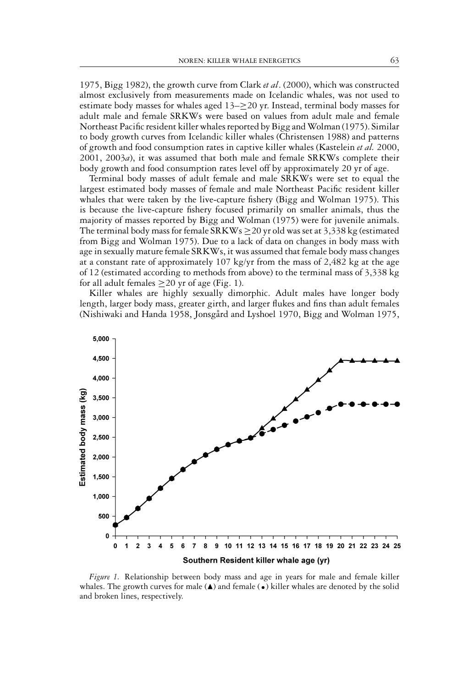1975, Bigg 1982), the growth curve from Clark *et al*. (2000), which was constructed almost exclusively from measurements made on Icelandic whales, was not used to estimate body masses for whales aged  $13-220$  yr. Instead, terminal body masses for adult male and female SRKWs were based on values from adult male and female Northeast Pacific resident killer whales reported by Bigg andWolman (1975). Similar to body growth curves from Icelandic killer whales (Christensen 1988) and patterns of growth and food consumption rates in captive killer whales (Kastelein *et al.* 2000, 2001, 2003*a*), it was assumed that both male and female SRKWs complete their body growth and food consumption rates level off by approximately 20 yr of age.

Terminal body masses of adult female and male SRKWs were set to equal the largest estimated body masses of female and male Northeast Pacific resident killer whales that were taken by the live-capture fishery (Bigg and Wolman 1975). This is because the live-capture fishery focused primarily on smaller animals, thus the majority of masses reported by Bigg and Wolman (1975) were for juvenile animals. The terminal body mass for female  $SRKWs \ge 20$  yr old was set at 3,338 kg (estimated from Bigg and Wolman 1975). Due to a lack of data on changes in body mass with age in sexually mature female SRKWs, it was assumed that female body mass changes at a constant rate of approximately 107 kg/yr from the mass of 2,482 kg at the age of 12 (estimated according to methods from above) to the terminal mass of 3,338 kg for all adult females  $\geq$  20 yr of age (Fig. 1).

Killer whales are highly sexually dimorphic. Adult males have longer body length, larger body mass, greater girth, and larger flukes and fins than adult females (Nishiwaki and Handa 1958, Jonsgård and Lyshoel 1970, Bigg and Wolman 1975,



*Figure 1.* Relationship between body mass and age in years for male and female killer whales. The growth curves for male ( $\blacktriangle$ ) and female ( $\bullet$ ) killer whales are denoted by the solid and broken lines, respectively.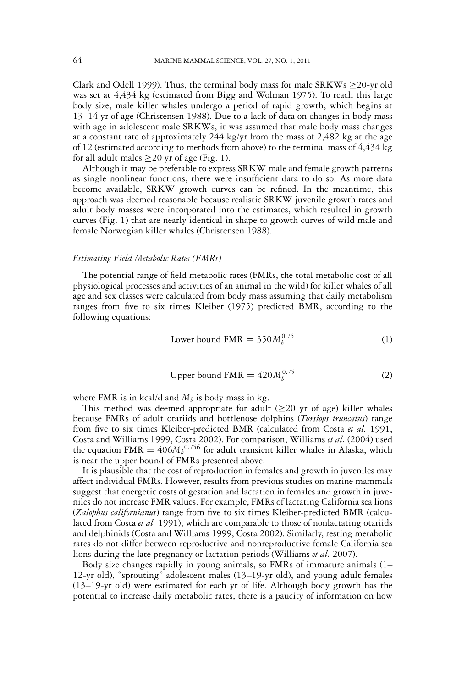Clark and Odell 1999). Thus, the terminal body mass for male  $SRKWs \ge 20$ -yr old was set at 4,434 kg (estimated from Bigg and Wolman 1975). To reach this large body size, male killer whales undergo a period of rapid growth, which begins at 13–14 yr of age (Christensen 1988). Due to a lack of data on changes in body mass with age in adolescent male SRKWs, it was assumed that male body mass changes at a constant rate of approximately  $244$  kg/yr from the mass of 2,482 kg at the age of 12 (estimated according to methods from above) to the terminal mass of 4,434 kg for all adult males  $\geq$  20 yr of age (Fig. 1).

Although it may be preferable to express SRKW male and female growth patterns as single nonlinear functions, there were insufficient data to do so. As more data become available, SRKW growth curves can be refined. In the meantime, this approach was deemed reasonable because realistic SRKW juvenile growth rates and adult body masses were incorporated into the estimates, which resulted in growth curves (Fig. 1) that are nearly identical in shape to growth curves of wild male and female Norwegian killer whales (Christensen 1988).

#### *Estimating Field Metabolic Rates (FMRs)*

The potential range of field metabolic rates (FMRs, the total metabolic cost of all physiological processes and activities of an animal in the wild) for killer whales of all age and sex classes were calculated from body mass assuming that daily metabolism ranges from five to six times Kleiber (1975) predicted BMR, according to the following equations:

Lower bound FMR = 
$$
350M_b^{0.75}
$$
 (1)

Upper bound FMR = 
$$
420M_b^{0.75}
$$
 (2)

where FMR is in kcal/d and  $M_b$  is body mass in kg.

This method was deemed appropriate for adult ( $\geq$ 20 yr of age) killer whales because FMRs of adult otariids and bottlenose dolphins (*Tursiops truncatus*) range from five to six times Kleiber-predicted BMR (calculated from Costa *et al.* 1991, Costa and Williams 1999, Costa 2002). For comparison, Williams *et al.* (2004) used the equation FMR =  $406M_b^{0.756}$  for adult transient killer whales in Alaska, which is near the upper bound of FMRs presented above.

It is plausible that the cost of reproduction in females and growth in juveniles may affect individual FMRs. However, results from previous studies on marine mammals suggest that energetic costs of gestation and lactation in females and growth in juveniles do not increase FMR values. For example, FMRs of lactating California sea lions (*Zalophus californianus*) range from five to six times Kleiber-predicted BMR (calculated from Costa *et al.* 1991), which are comparable to those of nonlactating otariids and delphinids (Costa and Williams 1999, Costa 2002). Similarly, resting metabolic rates do not differ between reproductive and nonreproductive female California sea lions during the late pregnancy or lactation periods (Williams *et al.* 2007).

Body size changes rapidly in young animals, so FMRs of immature animals (1– 12-yr old), "sprouting" adolescent males (13–19-yr old), and young adult females (13–19-yr old) were estimated for each yr of life. Although body growth has the potential to increase daily metabolic rates, there is a paucity of information on how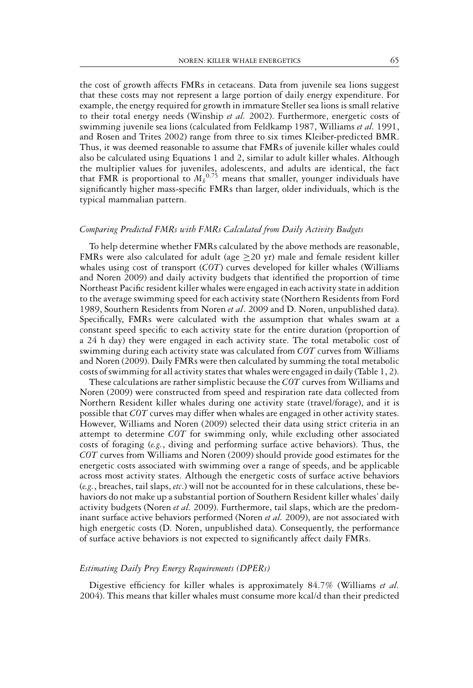the cost of growth affects FMRs in cetaceans. Data from juvenile sea lions suggest that these costs may not represent a large portion of daily energy expenditure. For example, the energy required for growth in immature Steller sea lions is small relative to their total energy needs (Winship *et al.* 2002). Furthermore, energetic costs of swimming juvenile sea lions (calculated from Feldkamp 1987, Williams *et al.* 1991, and Rosen and Trites 2002) range from three to six times Kleiber-predicted BMR. Thus, it was deemed reasonable to assume that FMRs of juvenile killer whales could also be calculated using Equations 1 and 2, similar to adult killer whales. Although the multiplier values for juveniles, adolescents, and adults are identical, the fact that FMR is proportional to  $M_b^{\,0.75}$  means that smaller, younger individuals have significantly higher mass-specific FMRs than larger, older individuals, which is the typical mammalian pattern.

#### *Comparing Predicted FMRs with FMRs Calculated from Daily Activity Budgets*

To help determine whether FMRs calculated by the above methods are reasonable, FMRs were also calculated for adult (age  $\geq$ 20 yr) male and female resident killer whales using cost of transport (*COT*) curves developed for killer whales (Williams and Noren 2009) and daily activity budgets that identified the proportion of time Northeast Pacific resident killer whales were engaged in each activity state in addition to the average swimming speed for each activity state (Northern Residents from Ford 1989, Southern Residents from Noren *et al*. 2009 and D. Noren, unpublished data). Specifically, FMRs were calculated with the assumption that whales swam at a constant speed specific to each activity state for the entire duration (proportion of a 24 h day) they were engaged in each activity state. The total metabolic cost of swimming during each activity state was calculated from *COT* curves from Williams and Noren (2009). Daily FMRs were then calculated by summing the total metabolic costs of swimming for all activity states that whales were engaged in daily (Table 1, 2).

These calculations are rather simplistic because the *COT* curves from Williams and Noren (2009) were constructed from speed and respiration rate data collected from Northern Resident killer whales during one activity state (travel/forage), and it is possible that *COT* curves may differ when whales are engaged in other activity states. However, Williams and Noren (2009) selected their data using strict criteria in an attempt to determine *COT* for swimming only, while excluding other associated costs of foraging (*e.g.*, diving and performing surface active behaviors). Thus, the *COT* curves from Williams and Noren (2009) should provide good estimates for the energetic costs associated with swimming over a range of speeds, and be applicable across most activity states. Although the energetic costs of surface active behaviors (*e.g.*, breaches, tail slaps, *etc*.) will not be accounted for in these calculations, these behaviors do not make up a substantial portion of Southern Resident killer whales' daily activity budgets (Noren *et al.* 2009). Furthermore, tail slaps, which are the predominant surface active behaviors performed (Noren *et al.* 2009), are not associated with high energetic costs (D. Noren, unpublished data). Consequently, the performance of surface active behaviors is not expected to significantly affect daily FMRs.

#### *Estimating Daily Prey Energy Requirements (DPERs)*

Digestive efficiency for killer whales is approximately 84.7% (Williams *et al.* 2004). This means that killer whales must consume more kcal/d than their predicted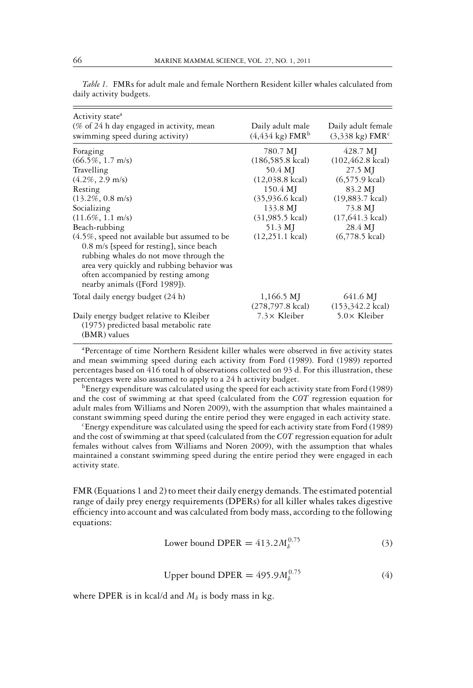| Activity state <sup>a</sup>                                                                                                                                                                                                                                                                                                                                                                                                                                 |                                                                                                                                                                                       |                                                                                                                                                                                        |
|-------------------------------------------------------------------------------------------------------------------------------------------------------------------------------------------------------------------------------------------------------------------------------------------------------------------------------------------------------------------------------------------------------------------------------------------------------------|---------------------------------------------------------------------------------------------------------------------------------------------------------------------------------------|----------------------------------------------------------------------------------------------------------------------------------------------------------------------------------------|
| (% of 24 h day engaged in activity, mean<br>swimming speed during activity)                                                                                                                                                                                                                                                                                                                                                                                 | Daily adult male<br>$(4,434 \text{ kg})$ FMR <sup>b</sup>                                                                                                                             | Daily adult female<br>$(3,338 \text{ kg})$ FMR <sup>c</sup>                                                                                                                            |
| Foraging<br>$(66.5\%, 1.7 \text{ m/s})$<br>Travelling<br>$(4.2\%, 2.9 \text{ m/s})$<br>Resting<br>$(13.2\%, 0.8 \text{ m/s})$<br>Socializing<br>$(11.6\%, 1.1 \text{ m/s})$<br>Beach-rubbing<br>$(4.5\%$ , speed not available but assumed to be<br>0.8 m/s [speed for resting], since beach<br>rubbing whales do not move through the<br>area very quickly and rubbing behavior was<br>often accompanied by resting among<br>nearby animals ([Ford 1989]). | 780.7 MJ<br>$(186, 585.8 \text{ kcal})$<br>50.4 MJ<br>$(12,038.8 \text{ kcal})$<br>150.4 MJ<br>(35,936.6 kcal)<br>133.8 MJ<br>(31,985.5 kcal)<br>51.3 MJ<br>$(12,251.1 \text{ kcal})$ | 428.7 MJ<br>$(102, 462.8 \text{ kcal})$<br>27.5 MJ<br>$(6,575.9$ kcal)<br>83.2 MJ<br>$(19,883.7 \text{ kcal})$<br>73.8 MJ<br>$(17, 641.3 \text{ kcal})$<br>28.4 MJ<br>$(6,778.5$ kcal) |
| Total daily energy budget (24 h)                                                                                                                                                                                                                                                                                                                                                                                                                            | 1,166.5 MJ                                                                                                                                                                            | 641.6 MJ                                                                                                                                                                               |
| Daily energy budget relative to Kleiber<br>(1975) predicted basal metabolic rate<br>(BMR) values                                                                                                                                                                                                                                                                                                                                                            | (278,797.8 kcal)<br>$7.3\times$ Kleiber                                                                                                                                               | $(153,342.2 \text{ kcal})$<br>$5.0 \times$ Kleiber                                                                                                                                     |

*Table 1.* FMRs for adult male and female Northern Resident killer whales calculated from daily activity budgets.

<sup>a</sup>Percentage of time Northern Resident killer whales were observed in five activity states and mean swimming speed during each activity from Ford (1989). Ford (1989) reported percentages based on 416 total h of observations collected on 93 d. For this illustration, these percentages were also assumed to apply to a 24 h activity budget.

<sup>b</sup>Energy expenditure was calculated using the speed for each activity state from Ford (1989) and the cost of swimming at that speed (calculated from the *COT* regression equation for adult males from Williams and Noren 2009), with the assumption that whales maintained a constant swimming speed during the entire period they were engaged in each activity state.

 $\epsilon$ Energy expenditure was calculated using the speed for each activity state from Ford (1989) and the cost of swimming at that speed (calculated from the *COT* regression equation for adult females without calves from Williams and Noren 2009), with the assumption that whales maintained a constant swimming speed during the entire period they were engaged in each activity state.

FMR (Equations 1 and 2) to meet their daily energy demands. The estimated potential range of daily prey energy requirements (DPERs) for all killer whales takes digestive efficiency into account and was calculated from body mass, according to the following equations:

Lower bound DPER = 
$$
413.2M_b^{0.75}
$$
 (3)

Upper bound DPER = 
$$
495.9M_b^{0.75}
$$
 (4)

where DPER is in kcal/d and  $M<sub>b</sub>$  is body mass in kg.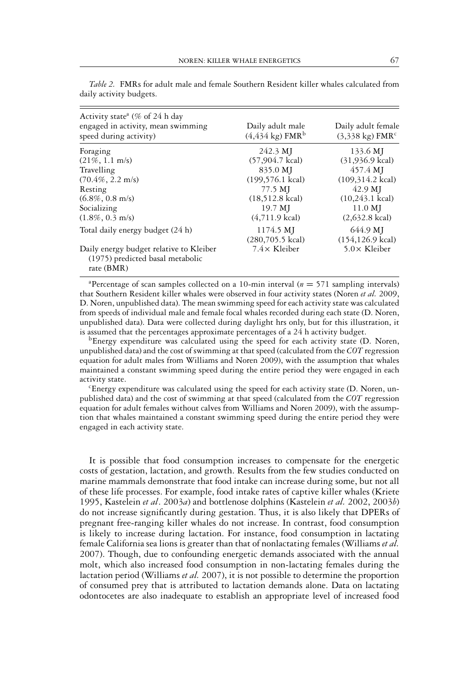| Activity state <sup>a</sup> (% of 24 h day<br>engaged in activity, mean swimming<br>speed during activity)                                                               | Daily adult male<br>$(4, 434 \text{ kg})$ FMR <sup>b</sup>                                                                                              | Daily adult female<br>$(3,338 \text{ kg})$ FMR <sup>c</sup>                                                                                            |
|--------------------------------------------------------------------------------------------------------------------------------------------------------------------------|---------------------------------------------------------------------------------------------------------------------------------------------------------|--------------------------------------------------------------------------------------------------------------------------------------------------------|
| Foraging<br>$(21\%, 1.1 \text{ m/s})$<br>Travelling<br>$(70.4\%, 2.2 \text{ m/s})$<br>Resting<br>$(6.8\%, 0.8 \text{ m/s})$<br>Socializing<br>$(1.8\%, 0.3 \text{ m/s})$ | 242.3 MJ<br>$(57,904.7 \text{ kcal})$<br>835.0 MJ<br>$(199, 576.1$ kcal)<br>77.5 MJ<br>$(18,512.8 \text{ kcal})$<br>19.7 MJ<br>$(4,711.9 \text{ kcal})$ | 133.6 MJ<br>$(31,936.9 \text{ kcal})$<br>457.4 MJ<br>$(109,314.2 \text{ kcal})$<br>42.9 MJ<br>$(10,243.1 \text{ kcal})$<br>11.0 MJ<br>$(2,632.8$ kcal) |
| Total daily energy budget (24 h)<br>Daily energy budget relative to Kleiber<br>(1975) predicted basal metabolic<br>rate (BMR)                                            | 1174.5 MJ<br>$(280,705.5 \text{ kcal})$<br>$7.4\times$ Kleiber                                                                                          | 644.9 MJ<br>$(154, 126.9 \text{ kcal})$<br>$5.0 \times$ Kleiber                                                                                        |

*Table 2.* FMRs for adult male and female Southern Resident killer whales calculated from daily activity budgets.

<sup>a</sup>Percentage of scan samples collected on a 10-min interval  $(n = 571$  sampling intervals) that Southern Resident killer whales were observed in four activity states (Noren *et al.* 2009, D. Noren, unpublished data). The mean swimming speed for each activity state was calculated from speeds of individual male and female focal whales recorded during each state (D. Noren, unpublished data). Data were collected during daylight hrs only, but for this illustration, it is assumed that the percentages approximate percentages of a 24 h activity budget.

<sup>b</sup>Energy expenditure was calculated using the speed for each activity state (D. Noren, unpublished data) and the cost of swimming at that speed (calculated from the *COT* regression equation for adult males from Williams and Noren 2009), with the assumption that whales maintained a constant swimming speed during the entire period they were engaged in each activity state.

 ${}^{\circ}$ Energy expenditure was calculated using the speed for each activity state (D. Noren, unpublished data) and the cost of swimming at that speed (calculated from the *COT* regression equation for adult females without calves from Williams and Noren 2009), with the assumption that whales maintained a constant swimming speed during the entire period they were engaged in each activity state.

It is possible that food consumption increases to compensate for the energetic costs of gestation, lactation, and growth. Results from the few studies conducted on marine mammals demonstrate that food intake can increase during some, but not all of these life processes. For example, food intake rates of captive killer whales (Kriete 1995, Kastelein *et al*. 2003*a*) and bottlenose dolphins (Kastelein *et al.* 2002, 2003*b*) do not increase significantly during gestation. Thus, it is also likely that DPERs of pregnant free-ranging killer whales do not increase. In contrast, food consumption is likely to increase during lactation. For instance, food consumption in lactating female California sea lions is greater than that of nonlactating females (Williams *et al.* 2007). Though, due to confounding energetic demands associated with the annual molt, which also increased food consumption in non-lactating females during the lactation period (Williams *et al.* 2007), it is not possible to determine the proportion of consumed prey that is attributed to lactation demands alone. Data on lactating odontocetes are also inadequate to establish an appropriate level of increased food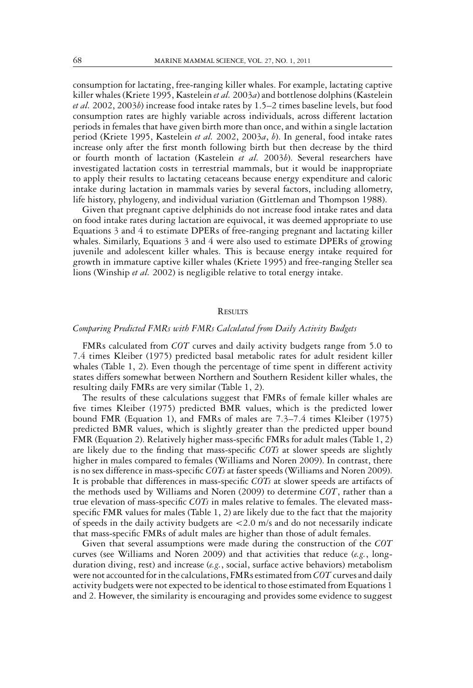consumption for lactating, free-ranging killer whales. For example, lactating captive killer whales (Kriete 1995, Kastelein *et al.* 2003*a*) and bottlenose dolphins (Kastelein *et al.* 2002, 2003*b*) increase food intake rates by 1.5–2 times baseline levels, but food consumption rates are highly variable across individuals, across different lactation periods in females that have given birth more than once, and within a single lactation period (Kriete 1995, Kastelein *et al.* 2002, 2003*a*, *b*). In general, food intake rates increase only after the first month following birth but then decrease by the third or fourth month of lactation (Kastelein *et al.* 2003*b*). Several researchers have investigated lactation costs in terrestrial mammals, but it would be inappropriate to apply their results to lactating cetaceans because energy expenditure and caloric intake during lactation in mammals varies by several factors, including allometry, life history, phylogeny, and individual variation (Gittleman and Thompson 1988).

Given that pregnant captive delphinids do not increase food intake rates and data on food intake rates during lactation are equivocal, it was deemed appropriate to use Equations 3 and 4 to estimate DPERs of free-ranging pregnant and lactating killer whales. Similarly, Equations 3 and 4 were also used to estimate DPERs of growing juvenile and adolescent killer whales. This is because energy intake required for growth in immature captive killer whales (Kriete 1995) and free-ranging Steller sea lions (Winship *et al.* 2002) is negligible relative to total energy intake.

#### **RESULTS**

#### *Comparing Predicted FMRs with FMRs Calculated from Daily Activity Budgets*

FMRs calculated from *COT* curves and daily activity budgets range from 5.0 to 7.4 times Kleiber (1975) predicted basal metabolic rates for adult resident killer whales (Table 1, 2). Even though the percentage of time spent in different activity states differs somewhat between Northern and Southern Resident killer whales, the resulting daily FMRs are very similar (Table 1, 2).

The results of these calculations suggest that FMRs of female killer whales are five times Kleiber (1975) predicted BMR values, which is the predicted lower bound FMR (Equation 1), and FMRs of males are 7.3–7.4 times Kleiber (1975) predicted BMR values, which is slightly greater than the predicted upper bound FMR (Equation 2). Relatively higher mass-specific FMRs for adult males (Table 1, 2) are likely due to the finding that mass-specific *COTs* at slower speeds are slightly higher in males compared to females (Williams and Noren 2009). In contrast, there is no sex difference in mass-specific *COTs*at faster speeds (Williams and Noren 2009). It is probable that differences in mass-specific *COTs* at slower speeds are artifacts of the methods used by Williams and Noren (2009) to determine *COT*, rather than a true elevation of mass-specific *COTs* in males relative to females. The elevated massspecific FMR values for males (Table 1, 2) are likely due to the fact that the majority of speeds in the daily activity budgets are <2.0 m/s and do not necessarily indicate that mass-specific FMRs of adult males are higher than those of adult females.

Given that several assumptions were made during the construction of the *COT* curves (see Williams and Noren 2009) and that activities that reduce (*e.g.*, longduration diving, rest) and increase (*e.g.*, social, surface active behaviors) metabolism were not accounted for in the calculations, FMRs estimated from*COT* curves and daily activity budgets were not expected to be identical to those estimated from Equations 1 and 2. However, the similarity is encouraging and provides some evidence to suggest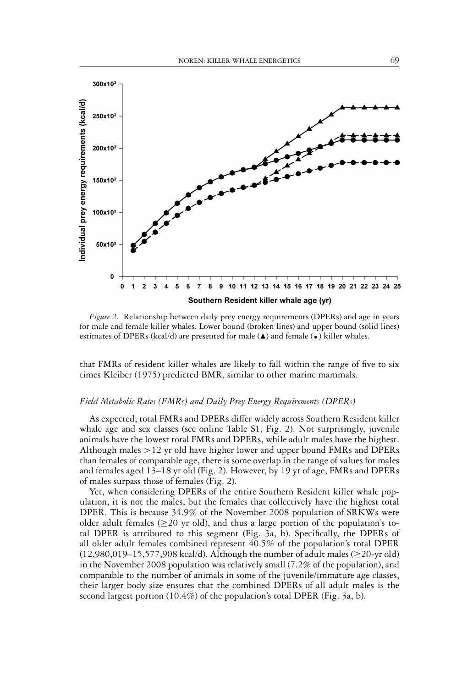

*Figure 2.* Relationship between daily prey energy requirements (DPERs) and age in years for male and female killer whales. Lower bound (broken lines) and upper bound (solid lines) estimates of DPERs (kcal/d) are presented for male ( $\blacktriangle$ ) and female ( $\bullet$ ) killer whales.

that FMRs of resident killer whales are likely to fall within the range of five to six times Kleiber (1975) predicted BMR, similar to other marine mammals.

#### *Field Metabolic Rates (FMRs) and Daily Prey Energy Requirements (DPERs)*

As expected, total FMRs and DPERs differ widely across Southern Resident killer whale age and sex classes (see online Table S1, Fig. 2). Not surprisingly, juvenile animals have the lowest total FMRs and DPERs, while adult males have the highest. Although males >12 yr old have higher lower and upper bound FMRs and DPERs than females of comparable age, there is some overlap in the range of values for males and females aged 13–18 yr old (Fig. 2). However, by 19 yr of age, FMRs and DPERs of males surpass those of females (Fig. 2).

Yet, when considering DPERs of the entire Southern Resident killer whale population, it is not the males, but the females that collectively have the highest total DPER. This is because 34.9% of the November 2008 population of SRKWs were older adult females ( $\geq$ 20 yr old), and thus a large portion of the population's total DPER is attributed to this segment (Fig. 3a, b). Specifically, the DPERs of all older adult females combined represent 40.5% of the population's total DPER  $(12,980,019-15,577,908 \text{ kcal/d})$ . Although the number of adult males ( $\geq$ 20-yr old) in the November 2008 population was relatively small (7.2% of the population), and comparable to the number of animals in some of the juvenile/immature age classes, their larger body size ensures that the combined DPERs of all adult males is the second largest portion (10.4%) of the population's total DPER (Fig. 3a, b).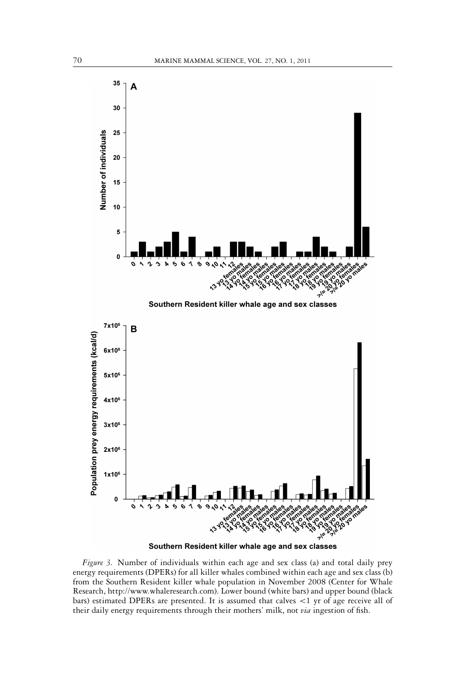

*Figure 3.* Number of individuals within each age and sex class (a) and total daily prey energy requirements (DPERs) for all killer whales combined within each age and sex class (b) from the Southern Resident killer whale population in November 2008 (Center for Whale Research, http://www.whaleresearch.com). Lower bound (white bars) and upper bound (black bars) estimated DPERs are presented. It is assumed that calves <1 yr of age receive all of their daily energy requirements through their mothers' milk, not *via* ingestion of fish.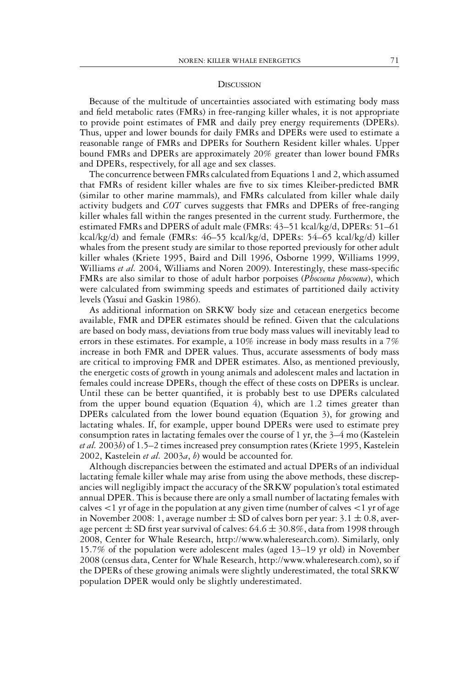#### **DISCUSSION**

Because of the multitude of uncertainties associated with estimating body mass and field metabolic rates (FMRs) in free-ranging killer whales, it is not appropriate to provide point estimates of FMR and daily prey energy requirements (DPERs). Thus, upper and lower bounds for daily FMRs and DPERs were used to estimate a reasonable range of FMRs and DPERs for Southern Resident killer whales. Upper bound FMRs and DPERs are approximately 20% greater than lower bound FMRs and DPERs, respectively, for all age and sex classes.

The concurrence between FMRs calculated from Equations 1 and 2, which assumed that FMRs of resident killer whales are five to six times Kleiber-predicted BMR (similar to other marine mammals), and FMRs calculated from killer whale daily activity budgets and *COT* curves suggests that FMRs and DPERs of free-ranging killer whales fall within the ranges presented in the current study. Furthermore, the estimated FMRs and DPERS of adult male (FMRs: 43–51 kcal/kg/d, DPERs: 51–61 kcal/kg/d) and female (FMRs: 46–55 kcal/kg/d, DPERs: 54–65 kcal/kg/d) killer whales from the present study are similar to those reported previously for other adult killer whales (Kriete 1995, Baird and Dill 1996, Osborne 1999, Williams 1999, Williams *et al.* 2004, Williams and Noren 2009). Interestingly, these mass-specific FMRs are also similar to those of adult harbor porpoises (*Phocoena phocoena*), which were calculated from swimming speeds and estimates of partitioned daily activity levels (Yasui and Gaskin 1986).

As additional information on SRKW body size and cetacean energetics become available, FMR and DPER estimates should be refined. Given that the calculations are based on body mass, deviations from true body mass values will inevitably lead to errors in these estimates. For example, a 10% increase in body mass results in a 7% increase in both FMR and DPER values. Thus, accurate assessments of body mass are critical to improving FMR and DPER estimates. Also, as mentioned previously, the energetic costs of growth in young animals and adolescent males and lactation in females could increase DPERs, though the effect of these costs on DPERs is unclear. Until these can be better quantified, it is probably best to use DPERs calculated from the upper bound equation (Equation 4), which are 1.2 times greater than DPERs calculated from the lower bound equation (Equation 3), for growing and lactating whales. If, for example, upper bound DPERs were used to estimate prey consumption rates in lactating females over the course of 1 yr, the 3–4 mo (Kastelein *et al.* 2003*b*) of 1.5–2 times increased prey consumption rates (Kriete 1995, Kastelein 2002, Kastelein *et al.* 2003*a*, *b*) would be accounted for.

Although discrepancies between the estimated and actual DPERs of an individual lactating female killer whale may arise from using the above methods, these discrepancies will negligibly impact the accuracy of the SRKW population's total estimated annual DPER. This is because there are only a small number of lactating females with calves <1 yr of age in the population at any given time (number of calves <1 yr of age in November 2008: 1, average number  $\pm$  SD of calves born per year: 3.1  $\pm$  0.8, average percent  $\pm$  SD first year survival of calves: 64.6  $\pm$  30.8%, data from 1998 through 2008, Center for Whale Research, http://www.whaleresearch.com). Similarly, only 15.7% of the population were adolescent males (aged 13–19 yr old) in November 2008 (census data, Center for Whale Research, http://www.whaleresearch.com), so if the DPERs of these growing animals were slightly underestimated, the total SRKW population DPER would only be slightly underestimated.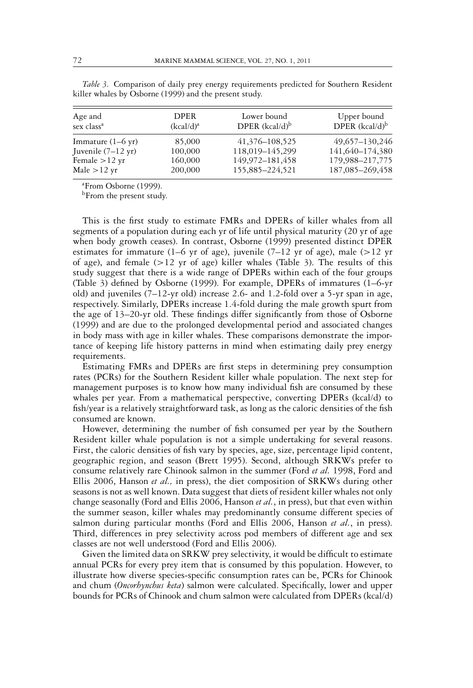| Age and<br>sex class <sup>a</sup> | <b>DPER</b><br>$(kcal/d)^a$ | Lower bound<br>DPER $(kcal/d)^b$ | Upper bound<br>DPER $(kcal/d)^b$ |
|-----------------------------------|-----------------------------|----------------------------------|----------------------------------|
| Immature $(1-6 \text{ yr})$       | 85,000                      | 41,376-108,525                   | 49,657-130,246                   |
| Juvenile $(7-12 \text{ yr})$      | 100,000                     | 118,019-145,299                  | 141,640-174,380                  |
| Female $>12$ yr                   | 160,000                     | 149,972-181,458                  | 179,988-217,775                  |
| Male $>12$ yr                     | 200,000                     | 155,885-224,521                  | 187,085-269,458                  |

*Table 3.* Comparison of daily prey energy requirements predicted for Southern Resident killer whales by Osborne (1999) and the present study.

a From Osborne (1999).

<sup>b</sup>From the present study.

This is the first study to estimate FMRs and DPERs of killer whales from all segments of a population during each yr of life until physical maturity (20 yr of age when body growth ceases). In contrast, Osborne (1999) presented distinct DPER estimates for immature (1–6 yr of age), juvenile (7–12 yr of age), male (>12 yr of age), and female  $(>12$  yr of age) killer whales (Table 3). The results of this study suggest that there is a wide range of DPERs within each of the four groups (Table 3) defined by Osborne (1999). For example, DPERs of immatures (1–6-yr old) and juveniles (7–12-yr old) increase 2.6- and 1.2-fold over a 5-yr span in age, respectively. Similarly, DPERs increase 1.4-fold during the male growth spurt from the age of 13–20-yr old. These findings differ significantly from those of Osborne (1999) and are due to the prolonged developmental period and associated changes in body mass with age in killer whales. These comparisons demonstrate the importance of keeping life history patterns in mind when estimating daily prey energy requirements.

Estimating FMRs and DPERs are first steps in determining prey consumption rates (PCRs) for the Southern Resident killer whale population. The next step for management purposes is to know how many individual fish are consumed by these whales per year. From a mathematical perspective, converting DPERs (kcal/d) to fish/year is a relatively straightforward task, as long as the caloric densities of the fish consumed are known.

However, determining the number of fish consumed per year by the Southern Resident killer whale population is not a simple undertaking for several reasons. First, the caloric densities of fish vary by species, age, size, percentage lipid content, geographic region, and season (Brett 1995). Second, although SRKWs prefer to consume relatively rare Chinook salmon in the summer (Ford *et al.* 1998, Ford and Ellis 2006, Hanson *et al.,* in press), the diet composition of SRKWs during other seasons is not as well known. Data suggest that diets of resident killer whales not only change seasonally (Ford and Ellis 2006, Hanson *et al.*, in press), but that even within the summer season, killer whales may predominantly consume different species of salmon during particular months (Ford and Ellis 2006, Hanson *et al.*, in press). Third, differences in prey selectivity across pod members of different age and sex classes are not well understood (Ford and Ellis 2006).

Given the limited data on SRKW prey selectivity, it would be difficult to estimate annual PCRs for every prey item that is consumed by this population. However, to illustrate how diverse species-specific consumption rates can be, PCRs for Chinook and chum (*Oncorhynchus keta*) salmon were calculated. Specifically, lower and upper bounds for PCRs of Chinook and chum salmon were calculated from DPERs (kcal/d)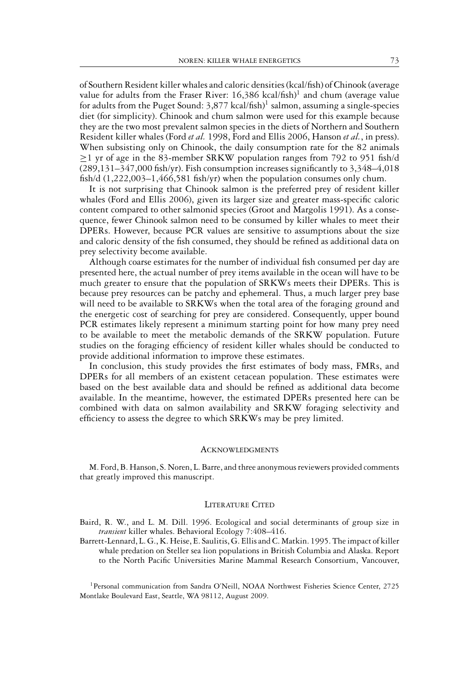of Southern Resident killer whales and caloric densities (kcal/fish) of Chinook (average value for adults from the Fraser River:  $16,386$  kcal/fish)<sup>1</sup> and chum (average value for adults from the Puget Sound:  $3,877$  kcal/fish)<sup>1</sup> salmon, assuming a single-species diet (for simplicity). Chinook and chum salmon were used for this example because they are the two most prevalent salmon species in the diets of Northern and Southern Resident killer whales (Ford *et al.* 1998, Ford and Ellis 2006, Hanson *et al.*, in press). When subsisting only on Chinook, the daily consumption rate for the 82 animals  $\geq$ 1 yr of age in the 83-member SRKW population ranges from 792 to 951 fish/d (289,131–347,000 fish/yr). Fish consumption increases significantly to 3,348–4,018 fish/d  $(1,222,003-1,466,581$  fish/yr) when the population consumes only chum.

It is not surprising that Chinook salmon is the preferred prey of resident killer whales (Ford and Ellis 2006), given its larger size and greater mass-specific caloric content compared to other salmonid species (Groot and Margolis 1991). As a consequence, fewer Chinook salmon need to be consumed by killer whales to meet their DPERs. However, because PCR values are sensitive to assumptions about the size and caloric density of the fish consumed, they should be refined as additional data on prey selectivity become available.

Although coarse estimates for the number of individual fish consumed per day are presented here, the actual number of prey items available in the ocean will have to be much greater to ensure that the population of SRKWs meets their DPERs. This is because prey resources can be patchy and ephemeral. Thus, a much larger prey base will need to be available to SRKWs when the total area of the foraging ground and the energetic cost of searching for prey are considered. Consequently, upper bound PCR estimates likely represent a minimum starting point for how many prey need to be available to meet the metabolic demands of the SRKW population. Future studies on the foraging efficiency of resident killer whales should be conducted to provide additional information to improve these estimates.

In conclusion, this study provides the first estimates of body mass, FMRs, and DPERs for all members of an existent cetacean population. These estimates were based on the best available data and should be refined as additional data become available. In the meantime, however, the estimated DPERs presented here can be combined with data on salmon availability and SRKW foraging selectivity and efficiency to assess the degree to which SRKWs may be prey limited.

#### **ACKNOWLEDGMENTS**

M. Ford, B. Hanson, S. Noren, L. Barre, and three anonymous reviewers provided comments that greatly improved this manuscript.

#### LITERATURE CITED

Baird, R. W., and L. M. Dill. 1996. Ecological and social determinants of group size in *transient* killer whales. Behavioral Ecology 7:408–416.

Barrett-Lennard, L. G., K. Heise, E. Saulitis, G. Ellis and C. Matkin. 1995. The impact of killer whale predation on Steller sea lion populations in British Columbia and Alaska. Report to the North Pacific Universities Marine Mammal Research Consortium, Vancouver,

<sup>&</sup>lt;sup>1</sup> Personal communication from Sandra O'Neill, NOAA Northwest Fisheries Science Center, 2725 Montlake Boulevard East, Seattle, WA 98112, August 2009.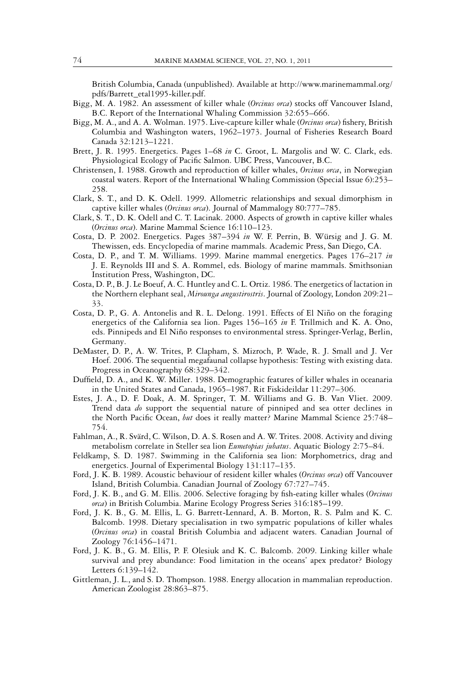British Columbia, Canada (unpublished). Available at http://www.marinemammal.org/ pdfs/Barrett\_etal1995-killer.pdf.

- Bigg, M. A. 1982. An assessment of killer whale (*Orcinus orca*) stocks off Vancouver Island, B.C. Report of the International Whaling Commission 32:655–666.
- Bigg, M. A., and A. A. Wolman. 1975. Live-capture killer whale (*Orcinus orca*) fishery, British Columbia and Washington waters, 1962–1973. Journal of Fisheries Research Board Canada 32:1213–1221.
- Brett, J. R. 1995. Energetics. Pages 1–68 *in* C. Groot, L. Margolis and W. C. Clark, eds. Physiological Ecology of Pacific Salmon. UBC Press, Vancouver, B.C.
- Christensen, I. 1988. Growth and reproduction of killer whales, *Orcinus orca*, in Norwegian coastal waters. Report of the International Whaling Commission (Special Issue 6):253– 258.
- Clark, S. T., and D. K. Odell. 1999. Allometric relationships and sexual dimorphism in captive killer whales (*Orcinus orca*). Journal of Mammalogy 80:777–785.
- Clark, S. T., D. K. Odell and C. T. Lacinak. 2000. Aspects of growth in captive killer whales (*Orcinus orca*). Marine Mammal Science 16:110–123.
- Costa, D. P. 2002. Energetics. Pages 387–394 *in* W. F. Perrin, B. Wursig and J. G. M. ¨ Thewissen, eds. Encyclopedia of marine mammals. Academic Press, San Diego, CA.
- Costa, D. P., and T. M. Williams. 1999. Marine mammal energetics. Pages 176–217 *in* J. E. Reynolds III and S. A. Rommel, eds. Biology of marine mammals. Smithsonian Institution Press, Washington, DC.
- Costa, D. P., B. J. Le Boeuf, A. C. Huntley and C. L. Ortiz. 1986. The energetics of lactation in the Northern elephant seal, *Mirounga angustirostris*. Journal of Zoology, London 209:21– 33.
- Costa, D. P., G. A. Antonelis and R. L. Delong. 1991. Effects of El Niño on the foraging energetics of the California sea lion. Pages 156–165 *in* F. Trillmich and K. A. Ono, eds. Pinnipeds and El Niño responses to environmental stress. Springer-Verlag, Berlin, Germany.
- DeMaster, D. P., A. W. Trites, P. Clapham, S. Mizroch, P. Wade, R. J. Small and J. Ver Hoef. 2006. The sequential megafaunal collapse hypothesis: Testing with existing data. Progress in Oceanography 68:329–342.
- Duffield, D. A., and K. W. Miller. 1988. Demographic features of killer whales in oceanaria in the United States and Canada, 1965–1987. Rit Fiskideildar 11:297–306.
- Estes, J. A., D. F. Doak, A. M. Springer, T. M. Williams and G. B. Van Vliet. 2009. Trend data *do* support the sequential nature of pinniped and sea otter declines in the North Pacific Ocean, *but* does it really matter? Marine Mammal Science 25:748– 754.
- Fahlman, A., R. Svärd, C. Wilson, D. A. S. Rosen and A. W. Trites. 2008. Activity and diving metabolism correlate in Steller sea lion *Eumetopias jubatus*. Aquatic Biology 2:75–84.
- Feldkamp, S. D. 1987. Swimming in the California sea lion: Morphometrics, drag and energetics. Journal of Experimental Biology 131:117–135.
- Ford, J. K. B. 1989. Acoustic behaviour of resident killer whales (*Orcinus orca*) off Vancouver Island, British Columbia. Canadian Journal of Zoology 67:727–745.
- Ford, J. K. B., and G. M. Ellis. 2006. Selective foraging by fish-eating killer whales (*Orcinus orca*) in British Columbia. Marine Ecology Progress Series 316:185–199.
- Ford, J. K. B., G. M. Ellis, L. G. Barrett-Lennard, A. B. Morton, R. S. Palm and K. C. Balcomb. 1998. Dietary specialisation in two sympatric populations of killer whales (*Orcinus orca*) in coastal British Columbia and adjacent waters. Canadian Journal of Zoology 76:1456–1471.
- Ford, J. K. B., G. M. Ellis, P. F. Olesiuk and K. C. Balcomb. 2009. Linking killer whale survival and prey abundance: Food limitation in the oceans' apex predator? Biology Letters 6:139–142.
- Gittleman, J. L., and S. D. Thompson. 1988. Energy allocation in mammalian reproduction. American Zoologist 28:863–875.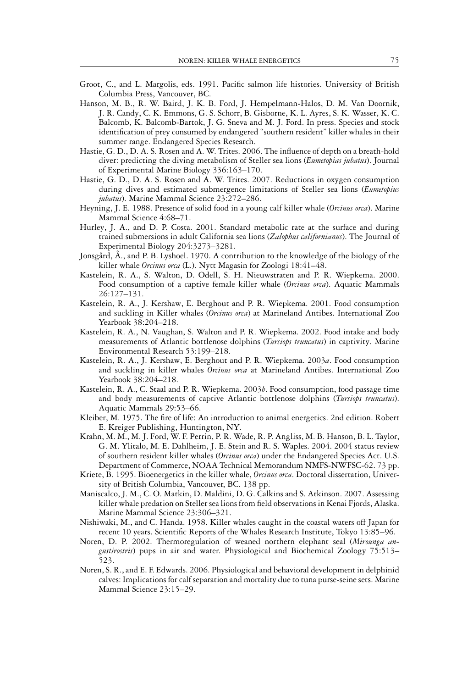- Groot, C., and L. Margolis, eds. 1991. Pacific salmon life histories. University of British Columbia Press, Vancouver, BC.
- Hanson, M. B., R. W. Baird, J. K. B. Ford, J. Hempelmann-Halos, D. M. Van Doornik, J. R. Candy, C. K. Emmons, G. S. Schorr, B. Gisborne, K. L. Ayres, S. K. Wasser, K. C. Balcomb, K. Balcomb-Bartok, J. G. Sneva and M. J. Ford. In press. Species and stock identification of prey consumed by endangered "southern resident" killer whales in their summer range. Endangered Species Research.
- Hastie, G. D., D. A. S. Rosen and A. W. Trites. 2006. The influence of depth on a breath-hold diver: predicting the diving metabolism of Steller sea lions (*Eumetopias jubatus*). Journal of Experimental Marine Biology 336:163–170.
- Hastie, G. D., D. A. S. Rosen and A. W. Trites. 2007. Reductions in oxygen consumption during dives and estimated submergence limitations of Steller sea lions (*Eumetopius jubatus*). Marine Mammal Science 23:272–286.
- Heyning, J. E. 1988. Presence of solid food in a young calf killer whale (*Orcinus orca*). Marine Mammal Science 4:68–71.
- Hurley, J. A., and D. P. Costa. 2001. Standard metabolic rate at the surface and during trained submersions in adult California sea lions (*Zalophus californianus*). The Journal of Experimental Biology 204:3273–3281.
- Jonsgård, Å., and P. B. Lyshoel. 1970. A contribution to the knowledge of the biology of the killer whale *Orcinus orca* (L.). Nytt Magasin for Zoologi 18:41–48.
- Kastelein, R. A., S. Walton, D. Odell, S. H. Nieuwstraten and P. R. Wiepkema. 2000. Food consumption of a captive female killer whale (*Orcinus orca*). Aquatic Mammals 26:127–131.
- Kastelein, R. A., J. Kershaw, E. Berghout and P. R. Wiepkema. 2001. Food consumption and suckling in Killer whales (*Orcinus orca*) at Marineland Antibes. International Zoo Yearbook 38:204–218.
- Kastelein, R. A., N. Vaughan, S. Walton and P. R. Wiepkema. 2002. Food intake and body measurements of Atlantic bottlenose dolphins (*Tursiops truncatus*) in captivity. Marine Environmental Research 53:199–218.
- Kastelein, R. A., J. Kershaw, E. Berghout and P. R. Wiepkema. 2003*a*. Food consumption and suckling in killer whales *Orcinus orca* at Marineland Antibes. International Zoo Yearbook 38:204–218.
- Kastelein, R. A., C. Staal and P. R. Wiepkema. 2003*b*. Food consumption, food passage time and body measurements of captive Atlantic bottlenose dolphins (*Tursiops truncatus*). Aquatic Mammals 29:53–66.
- Kleiber, M. 1975. The fire of life: An introduction to animal energetics. 2nd edition. Robert E. Kreiger Publishing, Huntington, NY.
- Krahn, M. M., M. J. Ford, W. F. Perrin, P. R. Wade, R. P. Angliss, M. B. Hanson, B. L. Taylor, G. M. Ylitalo, M. E. Dahlheim, J. E. Stein and R. S. Waples. 2004. 2004 status review of southern resident killer whales (*Orcinus orca*) under the Endangered Species Act. U.S. Department of Commerce, NOAA Technical Memorandum NMFS-NWFSC-62. 73 pp.
- Kriete, B. 1995. Bioenergetics in the killer whale, *Orcinus orca*. Doctoral dissertation, University of British Columbia, Vancouver, BC. 138 pp.
- Maniscalco, J. M., C. O. Matkin, D. Maldini, D. G. Calkins and S. Atkinson. 2007. Assessing killer whale predation on Steller sea lions from field observations in Kenai Fjords, Alaska. Marine Mammal Science 23:306–321.
- Nishiwaki, M., and C. Handa. 1958. Killer whales caught in the coastal waters off Japan for recent 10 years. Scientific Reports of the Whales Research Institute, Tokyo 13:85–96.
- Noren, D. P. 2002. Thermoregulation of weaned northern elephant seal (*Mirounga angustirostris*) pups in air and water. Physiological and Biochemical Zoology 75:513– 523.
- Noren, S. R., and E. F. Edwards. 2006. Physiological and behavioral development in delphinid calves: Implications for calf separation and mortality due to tuna purse-seine sets. Marine Mammal Science 23:15–29.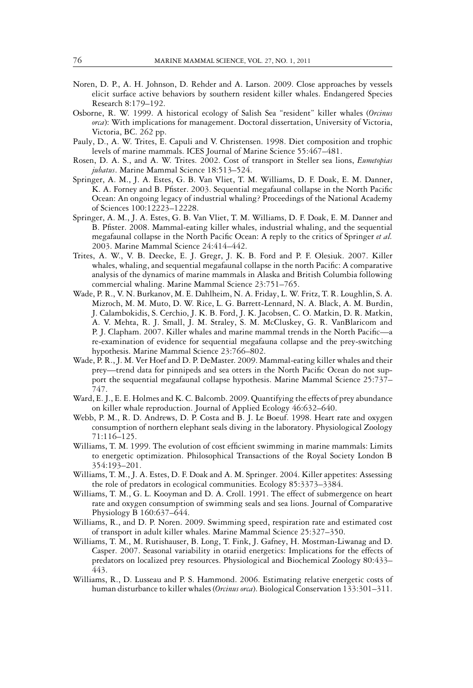- Noren, D. P., A. H. Johnson, D. Rehder and A. Larson. 2009. Close approaches by vessels elicit surface active behaviors by southern resident killer whales. Endangered Species Research 8:179–192.
- Osborne, R. W. 1999. A historical ecology of Salish Sea "resident" killer whales (*Orcinus orca*): With implications for management. Doctoral dissertation, University of Victoria, Victoria, BC. 262 pp.
- Pauly, D., A. W. Trites, E. Capuli and V. Christensen. 1998. Diet composition and trophic levels of marine mammals. ICES Journal of Marine Science 55:467–481.
- Rosen, D. A. S., and A. W. Trites. 2002. Cost of transport in Steller sea lions, *Eumetopias jubatus*. Marine Mammal Science 18:513–524.
- Springer, A. M., J. A. Estes, G. B. Van Vliet, T. M. Williams, D. F. Doak, E. M. Danner, K. A. Forney and B. Pfister. 2003. Sequential megafaunal collapse in the North Pacific Ocean: An ongoing legacy of industrial whaling? Proceedings of the National Academy of Sciences 100:12223–12228.
- Springer, A. M., J. A. Estes, G. B. Van Vliet, T. M. Williams, D. F. Doak, E. M. Danner and B. Pfister. 2008. Mammal-eating killer whales, industrial whaling, and the sequential megafaunal collapse in the North Pacific Ocean: A reply to the critics of Springer *et al.* 2003. Marine Mammal Science 24:414–442.
- Trites, A. W., V. B. Deecke, E. J. Gregr, J. K. B. Ford and P. F. Olesiuk. 2007. Killer whales, whaling, and sequential megafaunal collapse in the north Pacific: A comparative analysis of the dynamics of marine mammals in Alaska and British Columbia following commercial whaling. Marine Mammal Science 23:751–765.
- Wade, P. R., V. N. Burkanov, M. E. Dahlheim, N. A. Friday, L. W. Fritz, T. R. Loughlin, S. A. Mizroch, M. M. Muto, D. W. Rice, L. G. Barrett-Lennard, N. A. Black, A. M. Burdin, J. Calambokidis, S. Cerchio, J. K. B. Ford, J. K. Jacobsen, C. O. Matkin, D. R. Matkin, A. V. Mehta, R. J. Small, J. M. Straley, S. M. McCluskey, G. R. VanBlaricom and P. J. Clapham. 2007. Killer whales and marine mammal trends in the North Pacific—a re-examination of evidence for sequential megafauna collapse and the prey-switching hypothesis. Marine Mammal Science 23:766–802.
- Wade, P. R., J. M. Ver Hoef and D. P. DeMaster. 2009. Mammal-eating killer whales and their prey—trend data for pinnipeds and sea otters in the North Pacific Ocean do not support the sequential megafaunal collapse hypothesis. Marine Mammal Science 25:737– 747.
- Ward, E. J., E. E. Holmes and K. C. Balcomb. 2009. Quantifying the effects of prey abundance on killer whale reproduction. Journal of Applied Ecology 46:632–640.
- Webb, P. M., R. D. Andrews, D. P. Costa and B. J. Le Boeuf. 1998. Heart rate and oxygen consumption of northern elephant seals diving in the laboratory. Physiological Zoology 71:116–125.
- Williams, T. M. 1999. The evolution of cost efficient swimming in marine mammals: Limits to energetic optimization. Philosophical Transactions of the Royal Society London B 354:193–201.
- Williams, T. M., J. A. Estes, D. F. Doak and A. M. Springer. 2004. Killer appetites: Assessing the role of predators in ecological communities. Ecology 85:3373–3384.
- Williams, T. M., G. L. Kooyman and D. A. Croll. 1991. The effect of submergence on heart rate and oxygen consumption of swimming seals and sea lions. Journal of Comparative Physiology B 160:637–644.
- Williams, R., and D. P. Noren. 2009. Swimming speed, respiration rate and estimated cost of transport in adult killer whales. Marine Mammal Science 25:327–350.
- Williams, T. M., M. Rutishauser, B. Long, T. Fink, J. Gafney, H. Mostman-Liwanag and D. Casper. 2007. Seasonal variability in otariid energetics: Implications for the effects of predators on localized prey resources. Physiological and Biochemical Zoology 80:433– 443.
- Williams, R., D. Lusseau and P. S. Hammond. 2006. Estimating relative energetic costs of human disturbance to killer whales (*Orcinus orca*). Biological Conservation 133:301–311.